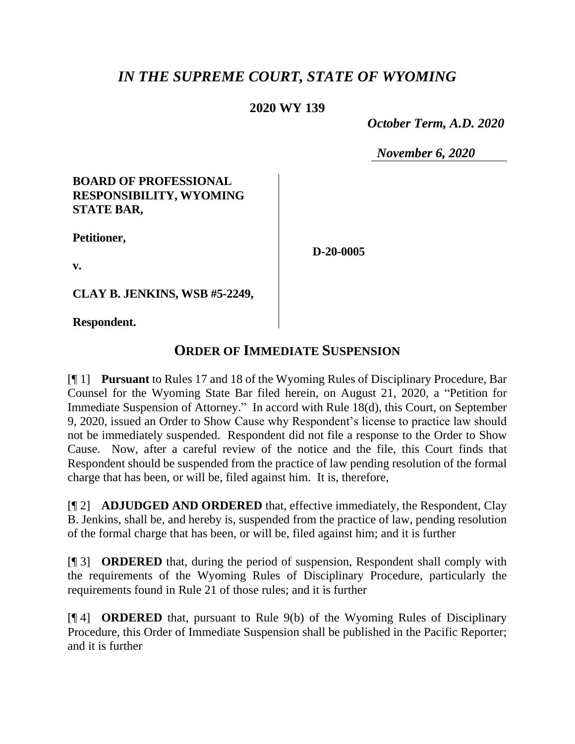# *IN THE SUPREME COURT, STATE OF WYOMING*

### **2020 WY 139**

 *October Term, A.D. 2020*

*November 6, 2020*

#### **BOARD OF PROFESSIONAL RESPONSIBILITY, WYOMING STATE BAR,**

**Petitioner,**

**D-20-0005**

**v.**

**CLAY B. JENKINS, WSB #5-2249,**

**Respondent.**

## **ORDER OF IMMEDIATE SUSPENSION**

[¶ 1] **Pursuant** to Rules 17 and 18 of the Wyoming Rules of Disciplinary Procedure, Bar Counsel for the Wyoming State Bar filed herein, on August 21, 2020, a "Petition for Immediate Suspension of Attorney." In accord with Rule 18(d), this Court, on September 9, 2020, issued an Order to Show Cause why Respondent's license to practice law should not be immediately suspended. Respondent did not file a response to the Order to Show Cause. Now, after a careful review of the notice and the file, this Court finds that Respondent should be suspended from the practice of law pending resolution of the formal charge that has been, or will be, filed against him. It is, therefore,

[¶ 2] **ADJUDGED AND ORDERED** that, effective immediately, the Respondent, Clay B. Jenkins, shall be, and hereby is, suspended from the practice of law, pending resolution of the formal charge that has been, or will be, filed against him; and it is further

[¶ 3] **ORDERED** that, during the period of suspension, Respondent shall comply with the requirements of the Wyoming Rules of Disciplinary Procedure, particularly the requirements found in Rule 21 of those rules; and it is further

[¶ 4] **ORDERED** that, pursuant to Rule 9(b) of the Wyoming Rules of Disciplinary Procedure, this Order of Immediate Suspension shall be published in the Pacific Reporter; and it is further